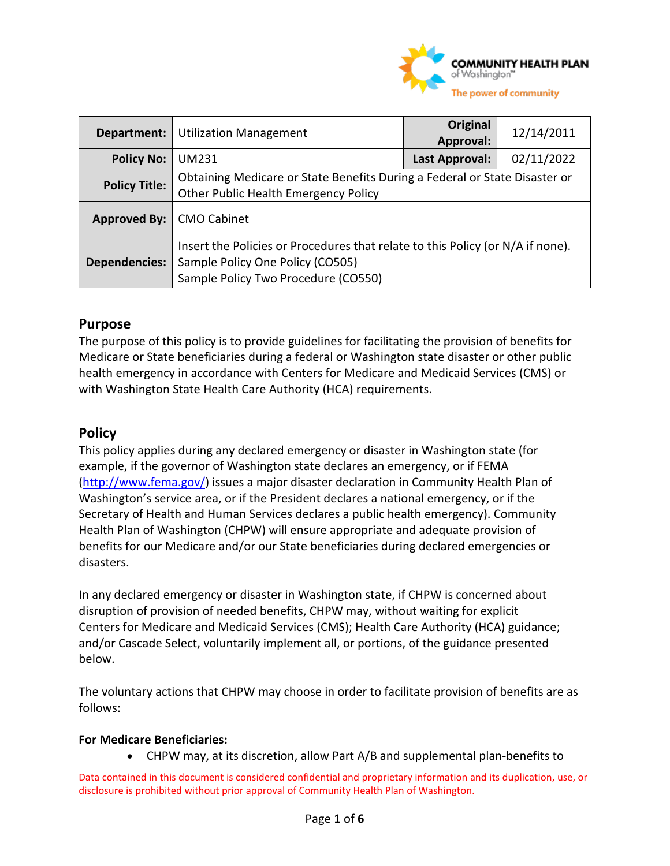

| Department:          | <b>Utilization Management</b>                                                                                                                             | Original<br>Approval: | 12/14/2011 |
|----------------------|-----------------------------------------------------------------------------------------------------------------------------------------------------------|-----------------------|------------|
| <b>Policy No:</b>    | UM231                                                                                                                                                     | Last Approval:        | 02/11/2022 |
| <b>Policy Title:</b> | Obtaining Medicare or State Benefits During a Federal or State Disaster or<br><b>Other Public Health Emergency Policy</b>                                 |                       |            |
| Approved By:         | <b>CMO Cabinet</b>                                                                                                                                        |                       |            |
| <b>Dependencies:</b> | Insert the Policies or Procedures that relate to this Policy (or N/A if none).<br>Sample Policy One Policy (CO505)<br>Sample Policy Two Procedure (CO550) |                       |            |

### **Purpose**

The purpose of this policy is to provide guidelines for facilitating the provision of benefits for Medicare or State beneficiaries during a federal or Washington state disaster or other public health emergency in accordance with Centers for Medicare and Medicaid Services (CMS) or with Washington State Health Care Authority (HCA) requirements.

#### **Policy**

This policy applies during any declared emergency or disaster in Washington state (for example, if the governor of Washington state declares an emergency, or if FEMA [\(http://www.fema.gov/\)](http://www.fema.gov/) issues a major disaster declaration in Community Health Plan of Washington's service area, or if the President declares a national emergency, or if the Secretary of Health and Human Services declares a public health emergency). Community Health Plan of Washington (CHPW) will ensure appropriate and adequate provision of benefits for our Medicare and/or our State beneficiaries during declared emergencies or disasters.

In any declared emergency or disaster in Washington state, if CHPW is concerned about disruption of provision of needed benefits, CHPW may, without waiting for explicit Centers for Medicare and Medicaid Services (CMS); Health Care Authority (HCA) guidance; and/or Cascade Select, voluntarily implement all, or portions, of the guidance presented below.

The voluntary actions that CHPW may choose in order to facilitate provision of benefits are as follows:

#### **For Medicare Beneficiaries:**

• CHPW may, at its discretion, allow Part A/B and supplemental plan-benefits to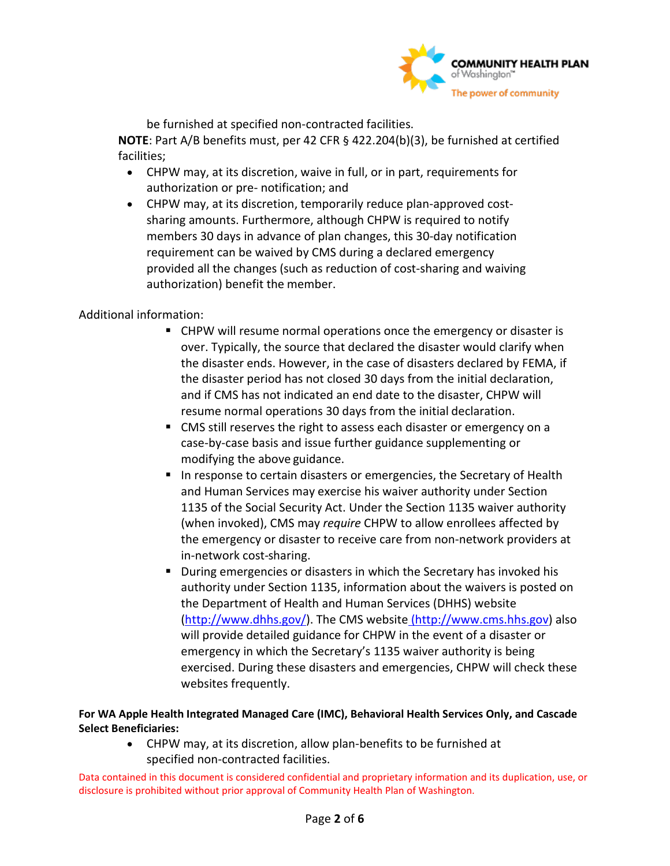

be furnished at specified non-contracted facilities.

**NOTE**: Part A/B benefits must, per 42 CFR § 422.204(b)(3), be furnished at certified facilities;

- CHPW may, at its discretion, waive in full, or in part, requirements for authorization or pre- notification; and
- CHPW may, at its discretion, temporarily reduce plan-approved costsharing amounts. Furthermore, although CHPW is required to notify members 30 days in advance of plan changes, this 30-day notification requirement can be waived by CMS during a declared emergency provided all the changes (such as reduction of cost-sharing and waiving authorization) benefit the member.

#### Additional information:

- CHPW will resume normal operations once the emergency or disaster is over. Typically, the source that declared the disaster would clarify when the disaster ends. However, in the case of disasters declared by FEMA, if the disaster period has not closed 30 days from the initial declaration, and if CMS has not indicated an end date to the disaster, CHPW will resume normal operations 30 days from the initial declaration.
- CMS still reserves the right to assess each disaster or emergency on a case-by-case basis and issue further guidance supplementing or modifying the above guidance.
- In response to certain disasters or emergencies, the Secretary of Health and Human Services may exercise his waiver authority under Section 1135 of the Social Security Act. Under the Section 1135 waiver authority (when invoked), CMS may *require* CHPW to allow enrollees affected by the emergency or disaster to receive care from non-network providers at in-network cost-sharing.
- **During emergencies or disasters in which the Secretary has invoked his** authority under Section 1135, information about the waivers is posted on the Department of Health and Human Services (DHHS) website [\(http://www.dhhs.gov/\)](http://www.dhhs.gov/). The CMS website [\(http://www.cms.hhs.gov\)](http://www.cms.hhs.gov/) also will provide detailed guidance for CHPW in the event of a disaster or emergency in which the Secretary's 1135 waiver authority is being exercised. During these disasters and emergencies, CHPW will check these websites frequently.

#### **For WA Apple Health Integrated Managed Care (IMC), Behavioral Health Services Only, and Cascade Select Beneficiaries:**

• CHPW may, at its discretion, allow plan-benefits to be furnished at specified non-contracted facilities.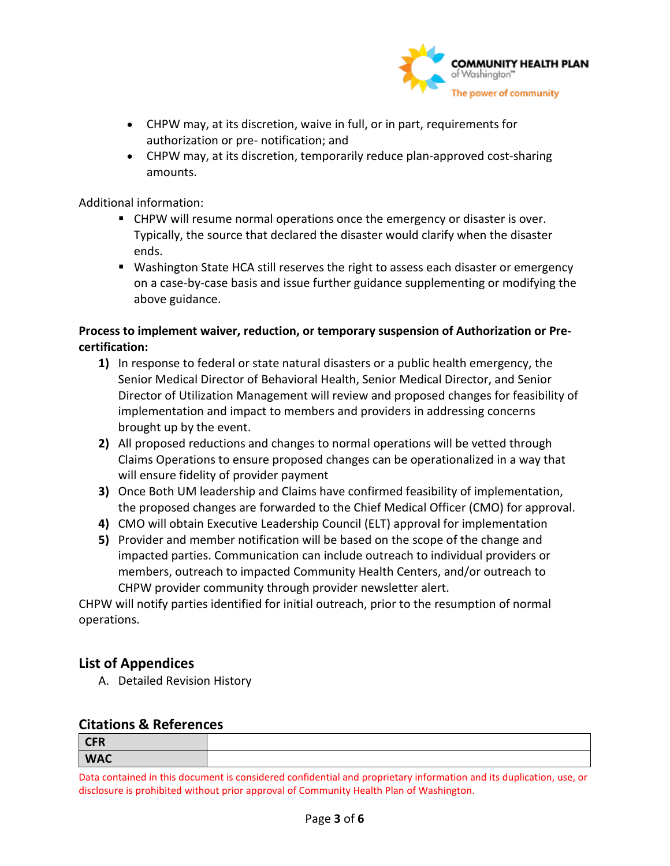

- CHPW may, at its discretion, waive in full, or in part, requirements for authorization or pre- notification; and
- CHPW may, at its discretion, temporarily reduce plan-approved cost-sharing amounts.

Additional information:

- CHPW will resume normal operations once the emergency or disaster is over. Typically, the source that declared the disaster would clarify when the disaster ends.
- Washington State HCA still reserves the right to assess each disaster or emergency on a case-by-case basis and issue further guidance supplementing or modifying the above guidance.

#### **Process to implement waiver, reduction, or temporary suspension of Authorization or Precertification:**

- **1)** In response to federal or state natural disasters or a public health emergency, the Senior Medical Director of Behavioral Health, Senior Medical Director, and Senior Director of Utilization Management will review and proposed changes for feasibility of implementation and impact to members and providers in addressing concerns brought up by the event.
- **2)** All proposed reductions and changes to normal operations will be vetted through Claims Operations to ensure proposed changes can be operationalized in a way that will ensure fidelity of provider payment
- **3)** Once Both UM leadership and Claims have confirmed feasibility of implementation, the proposed changes are forwarded to the Chief Medical Officer (CMO) for approval.
- **4)** CMO will obtain Executive Leadership Council (ELT) approval for implementation
- **5)** Provider and member notification will be based on the scope of the change and impacted parties. Communication can include outreach to individual providers or members, outreach to impacted Community Health Centers, and/or outreach to CHPW provider community through provider newsletter alert.

CHPW will notify parties identified for initial outreach, prior to the resumption of normal operations.

## **List of Appendices**

A. Detailed Revision History

### **Citations & References**

| <b>CFR</b> |  |
|------------|--|
| <b>WAC</b> |  |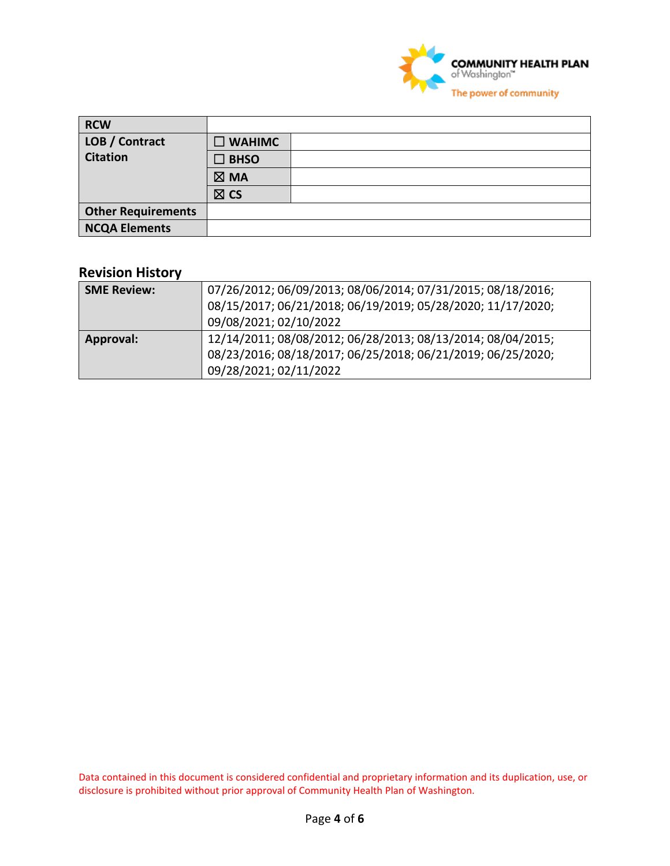

| <b>RCW</b>                |                |  |
|---------------------------|----------------|--|
| LOB / Contract            | <b>WAHIMC</b>  |  |
| <b>Citation</b>           | <b>BHSO</b>    |  |
|                           | $\boxtimes$ MA |  |
|                           | $\boxtimes$ CS |  |
| <b>Other Requirements</b> |                |  |
| <b>NCQA Elements</b>      |                |  |

# **Revision History**

| <b>SME Review:</b> | 07/26/2012; 06/09/2013; 08/06/2014; 07/31/2015; 08/18/2016;<br>08/15/2017; 06/21/2018; 06/19/2019; 05/28/2020; 11/17/2020;<br>09/08/2021; 02/10/2022 |
|--------------------|------------------------------------------------------------------------------------------------------------------------------------------------------|
| <b>Approval:</b>   | 12/14/2011; 08/08/2012; 06/28/2013; 08/13/2014; 08/04/2015;<br>08/23/2016; 08/18/2017; 06/25/2018; 06/21/2019; 06/25/2020;<br>09/28/2021; 02/11/2022 |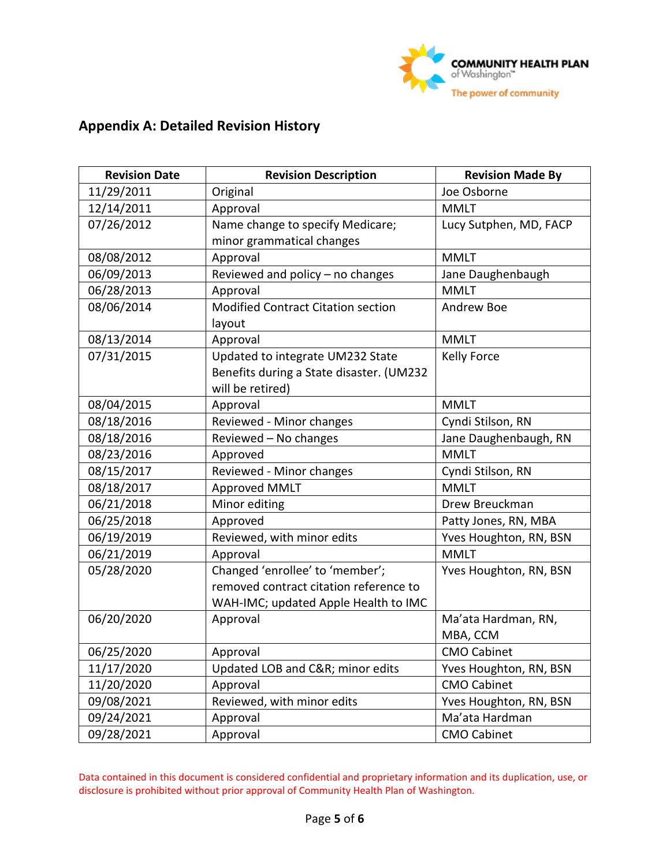

# **Appendix A: Detailed Revision History**

| <b>Revision Date</b> | <b>Revision Description</b>               | <b>Revision Made By</b> |  |
|----------------------|-------------------------------------------|-------------------------|--|
| 11/29/2011           | Original                                  | Joe Osborne             |  |
| 12/14/2011           | Approval                                  | <b>MMLT</b>             |  |
| 07/26/2012           | Name change to specify Medicare;          | Lucy Sutphen, MD, FACP  |  |
|                      | minor grammatical changes                 |                         |  |
| 08/08/2012           | Approval                                  | <b>MMLT</b>             |  |
| 06/09/2013           | Reviewed and policy - no changes          | Jane Daughenbaugh       |  |
| 06/28/2013           | Approval                                  | <b>MMLT</b>             |  |
| 08/06/2014           | <b>Modified Contract Citation section</b> | Andrew Boe              |  |
|                      | layout                                    |                         |  |
| 08/13/2014           | Approval                                  | <b>MMLT</b>             |  |
| 07/31/2015           | Updated to integrate UM232 State          | Kelly Force             |  |
|                      | Benefits during a State disaster. (UM232  |                         |  |
|                      | will be retired)                          |                         |  |
| 08/04/2015           | Approval                                  | <b>MMLT</b>             |  |
| 08/18/2016           | Reviewed - Minor changes                  | Cyndi Stilson, RN       |  |
| 08/18/2016           | Reviewed - No changes                     | Jane Daughenbaugh, RN   |  |
| 08/23/2016           | Approved                                  | <b>MMLT</b>             |  |
| 08/15/2017           | Reviewed - Minor changes                  | Cyndi Stilson, RN       |  |
| 08/18/2017           | Approved MMLT                             | <b>MMLT</b>             |  |
| 06/21/2018           | Minor editing                             | Drew Breuckman          |  |
| 06/25/2018           | Approved                                  | Patty Jones, RN, MBA    |  |
| 06/19/2019           | Reviewed, with minor edits                | Yves Houghton, RN, BSN  |  |
| 06/21/2019           | Approval                                  | <b>MMLT</b>             |  |
| 05/28/2020           | Changed 'enrollee' to 'member';           | Yves Houghton, RN, BSN  |  |
|                      | removed contract citation reference to    |                         |  |
|                      | WAH-IMC; updated Apple Health to IMC      |                         |  |
| 06/20/2020           | Approval                                  | Ma'ata Hardman, RN,     |  |
|                      |                                           | MBA, CCM                |  |
| 06/25/2020           | Approval                                  | <b>CMO Cabinet</b>      |  |
| 11/17/2020           | Updated LOB and C&R minor edits           | Yves Houghton, RN, BSN  |  |
| 11/20/2020           | Approval                                  | <b>CMO Cabinet</b>      |  |
| 09/08/2021           | Reviewed, with minor edits                | Yves Houghton, RN, BSN  |  |
| 09/24/2021           | Approval                                  | Ma'ata Hardman          |  |
| 09/28/2021           | Approval                                  | <b>CMO Cabinet</b>      |  |